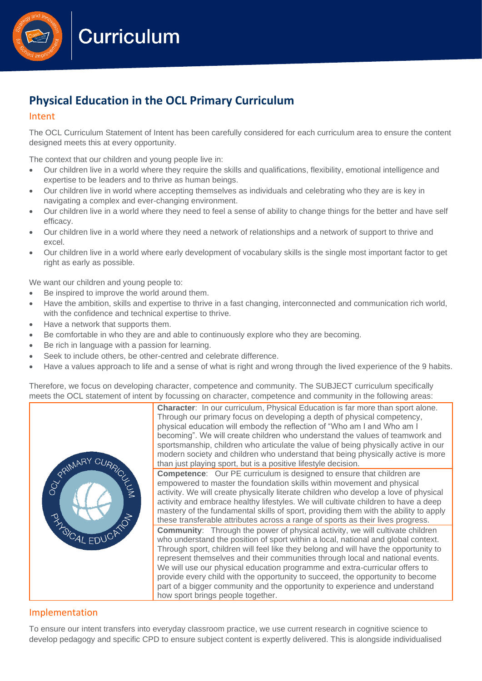**Curriculum** 

# **Physical Education in the OCL Primary Curriculum**

## Intent

The OCL Curriculum Statement of Intent has been carefully considered for each curriculum area to ensure the content designed meets this at every opportunity.

The context that our children and young people live in:

- Our children live in a world where they require the skills and qualifications, flexibility, emotional intelligence and expertise to be leaders and to thrive as human beings.
- Our children live in world where accepting themselves as individuals and celebrating who they are is key in navigating a complex and ever-changing environment.
- Our children live in a world where they need to feel a sense of ability to change things for the better and have self efficacy.
- Our children live in a world where they need a network of relationships and a network of support to thrive and excel.
- Our children live in a world where early development of vocabulary skills is the single most important factor to get right as early as possible.

We want our children and young people to:

- Be inspired to improve the world around them.
- Have the ambition, skills and expertise to thrive in a fast changing, interconnected and communication rich world, with the confidence and technical expertise to thrive.
- Have a network that supports them.
- Be comfortable in who they are and able to continuously explore who they are becoming.
- Be rich in language with a passion for learning.
- Seek to include others, be other-centred and celebrate difference.
- Have a values approach to life and a sense of what is right and wrong through the lived experience of the 9 habits.

Therefore, we focus on developing character, competence and community. The SUBJECT curriculum specifically meets the OCL statement of intent by focussing on character, competence and community in the following areas:



**Character:** In our curriculum, Physical Education is far more than sport alone. Through our primary focus on developing a depth of physical competency, physical education will embody the reflection of "Who am I and Who am I becoming". We will create children who understand the values of teamwork and sportsmanship, children who articulate the value of being physically active in our modern society and children who understand that being physically active is more than just playing sport, but is a positive lifestyle decision.

**Competence**: Our PE curriculum is designed to ensure that children are empowered to master the foundation skills within movement and physical activity. We will create physically literate children who develop a love of physical activity and embrace healthy lifestyles. We will cultivate children to have a deep mastery of the fundamental skills of sport, providing them with the ability to apply these transferable attributes across a range of sports as their lives progress.

**Community:** Through the power of physical activity, we will cultivate children who understand the position of sport within a local, national and global context. Through sport, children will feel like they belong and will have the opportunity to represent themselves and their communities through local and national events. We will use our physical education programme and extra-curricular offers to provide every child with the opportunity to succeed, the opportunity to become part of a bigger community and the opportunity to experience and understand how sport brings people together.

# Implementation

To ensure our intent transfers into everyday classroom practice, we use current research in cognitive science to develop pedagogy and specific CPD to ensure subject content is expertly delivered. This is alongside individualised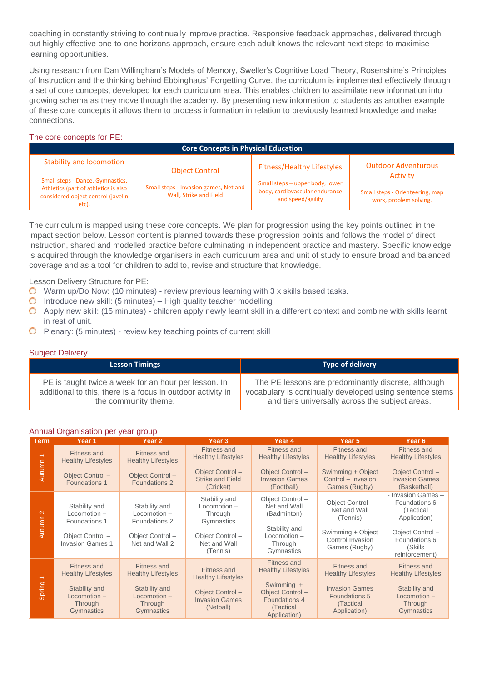coaching in constantly striving to continually improve practice. Responsive feedback approaches, delivered through out highly effective one-to-one horizons approach, ensure each adult knows the relevant next steps to maximise learning opportunities.

Using research from Dan Willingham's Models of Memory, Sweller's Cognitive Load Theory, Rosenshine's Principles of Instruction and the thinking behind Ebbinghaus' Forgetting Curve, the curriculum is implemented effectively through a set of core concepts, developed for each curriculum area. This enables children to assimilate new information into growing schema as they move through the academy. By presenting new information to students as another example of these core concepts it allows them to process information in relation to previously learned knowledge and make connections.

## The core concepts for PE:

| <b>Core Concepts in Physical Education</b>                                                                              |                                                                 |                                                                                        |                                                           |  |
|-------------------------------------------------------------------------------------------------------------------------|-----------------------------------------------------------------|----------------------------------------------------------------------------------------|-----------------------------------------------------------|--|
| <b>Stability and locomotion</b>                                                                                         | <b>Object Control</b>                                           | <b>Fitness/Healthy Lifestyles</b>                                                      | <b>Outdoor Adventurous</b><br><b>Activity</b>             |  |
| Small steps - Dance, Gymnastics,<br>Athletics (part of athletics is also<br>considered object control (javelin<br>etc). | Small steps - Invasion games, Net and<br>Wall, Strike and Field | Small steps - upper body, lower<br>body, cardiovascular endurance<br>and speed/agility | Small steps - Orienteering, map<br>work, problem solving. |  |

The curriculum is mapped using these core concepts. We plan for progression using the key points outlined in the impact section below. Lesson content is planned towards these progression points and follows the model of direct instruction, shared and modelled practice before culminating in independent practice and mastery. Specific knowledge is acquired through the knowledge organisers in each curriculum area and unit of study to ensure broad and balanced coverage and as a tool for children to add to, revise and structure that knowledge.

Lesson Delivery Structure for PE:

- $\bullet$  Warm up/Do Now: (10 minutes) review previous learning with 3 x skills based tasks.
- $\circ$  Introduce new skill: (5 minutes) High quality teacher modelling
- $\bullet$  Apply new skill: (15 minutes) children apply newly learnt skill in a different context and combine with skills learnt in rest of unit.
- $\bigcirc$  Plenary: (5 minutes) review key teaching points of current skill

#### Subject Delivery

| <b>Lesson Timings</b>                                       | <b>Type of delivery</b>                                  |
|-------------------------------------------------------------|----------------------------------------------------------|
| PE is taught twice a week for an hour per lesson. In        | The PE lessons are predominantly discrete, although      |
| additional to this, there is a focus in outdoor activity in | vocabulary is continually developed using sentence stems |
| the community theme.                                        | and tiers universally across the subject areas.          |

## Annual Organisation per year group

| <b>Term</b>                        | """aa" Organication por your group<br>Year 1                                                                       | Year 2                                                                                                                  | Year <sub>3</sub>                                                                                          | Year 4                                                                                                                         | Year 5                                                                                                                 | Year 6                                                                                                                            |
|------------------------------------|--------------------------------------------------------------------------------------------------------------------|-------------------------------------------------------------------------------------------------------------------------|------------------------------------------------------------------------------------------------------------|--------------------------------------------------------------------------------------------------------------------------------|------------------------------------------------------------------------------------------------------------------------|-----------------------------------------------------------------------------------------------------------------------------------|
| $\overline{\phantom{0}}$<br>Autumn | <b>Fitness and</b><br><b>Healthy Lifestyles</b><br>Object Control-<br>Foundations 1                                | <b>Fitness and</b><br><b>Healthy Lifestyles</b><br>Object Control-<br>Foundations 2                                     | <b>Fitness and</b><br><b>Healthy Lifestyles</b><br>Object Control-<br><b>Strike and Field</b><br>(Cricket) | <b>Fitness and</b><br><b>Healthy Lifestyles</b><br>Object Control-<br><b>Invasion Games</b><br>(Football)                      | <b>Fitness and</b><br><b>Healthy Lifestyles</b><br>Swimming + Object<br>Control - Invasion<br>Games (Rugby)            | Fitness and<br><b>Healthy Lifestyles</b><br>Object Control-<br><b>Invasion Games</b><br>(Basketball)                              |
| $\mathbf{\Omega}$<br>Autumn        | Stability and<br>$Locomotion -$<br>Foundations 1<br>Object Control-<br><b>Invasion Games 1</b>                     | Stability and<br>Locomotion -<br>Foundations 2<br>Object Control-<br>Net and Wall 2                                     | Stability and<br>Locomotion -<br>Through<br>Gymnastics<br>Object Control-<br>Net and Wall<br>(Tennis)      | Object Control-<br>Net and Wall<br>(Badminton)<br>Stability and<br>Locomotion-<br>Through<br>Gymnastics                        | Object Control-<br>Net and Wall<br>(Tennis)<br>Swimming + Object<br>Control Invasion<br>Games (Rugby)                  | - Invasion Games -<br>Foundations 6<br>(Tactical<br>Application)<br>Object Control-<br>Foundations 6<br>(Skills<br>reinforcement) |
| $\overline{\phantom{0}}$<br>Spring | <b>Fitness and</b><br><b>Healthy Lifestyles</b><br>Stability and<br>$Locomotion -$<br>Through<br><b>Gymnastics</b> | <b>Fitness and</b><br><b>Healthy Lifestyles</b><br>Stability and<br>Locomotion -<br><b>Through</b><br><b>Gymnastics</b> | <b>Fitness and</b><br><b>Healthy Lifestyles</b><br>Object Control-<br><b>Invasion Games</b><br>(Netball)   | <b>Fitness and</b><br><b>Healthy Lifestyles</b><br>Swimming +<br>Object Control-<br>Foundations 4<br>(Tactical<br>Application) | <b>Fitness and</b><br><b>Healthy Lifestyles</b><br><b>Invasion Games</b><br>Foundations 5<br>(Tactical<br>Application) | Fitness and<br><b>Healthy Lifestyles</b><br>Stability and<br>Locomotion -<br><b>Through</b><br><b>Gymnastics</b>                  |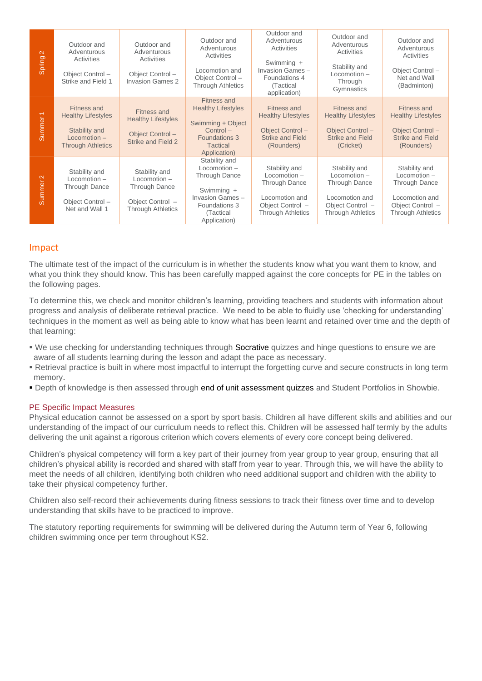| $\mathbb{N}$<br>Spring      | Outdoor and<br>Adventurous<br>Activities<br>Object Control-<br>Strike and Field 1                              | Outdoor and<br>Adventurous<br>Activities<br>Object Control-<br><b>Invasion Games 2</b>                  | Outdoor and<br>Adventurous<br>Activities<br>Locomotion and<br>Object Control-<br><b>Through Athletics</b>                                      | Outdoor and<br>Adventurous<br>Activities<br>Swimming +<br>Invasion Games-<br>Foundations 4<br>(Tactical<br>application)   | Outdoor and<br>Adventurous<br>Activities<br>Stability and<br>$Locomotion -$<br>Through<br>Gymnastics                      | Outdoor and<br>Adventurous<br>Activities<br>Object Control-<br>Net and Wall<br>(Badminton)                                |
|-----------------------------|----------------------------------------------------------------------------------------------------------------|---------------------------------------------------------------------------------------------------------|------------------------------------------------------------------------------------------------------------------------------------------------|---------------------------------------------------------------------------------------------------------------------------|---------------------------------------------------------------------------------------------------------------------------|---------------------------------------------------------------------------------------------------------------------------|
| Summer <sub>1</sub>         | <b>Fitness and</b><br><b>Healthy Lifestyles</b><br>Stability and<br>$Locomotion -$<br><b>Through Athletics</b> | Fitness and<br><b>Healthy Lifestyles</b><br>Object Control-<br>Strike and Field 2                       | <b>Fitness and</b><br><b>Healthy Lifestyles</b><br>Swimming + Object<br>$Control -$<br><b>Foundations 3</b><br><b>Tactical</b><br>Application) | Fitness and<br><b>Healthy Lifestyles</b><br>Object Control-<br><b>Strike and Field</b><br>(Rounders)                      | Fitness and<br><b>Healthy Lifestyles</b><br>Object Control-<br><b>Strike and Field</b><br>(Cricket)                       | <b>Fitness and</b><br><b>Healthy Lifestyles</b><br>Object Control-<br><b>Strike and Field</b><br>(Rounders)               |
| $\mathbf{\Omega}$<br>Summer | Stability and<br>Locomotion-<br>Through Dance<br>Object Control-<br>Net and Wall 1                             | Stability and<br>$Locomotion -$<br><b>Through Dance</b><br>Object Control -<br><b>Through Athletics</b> | Stability and<br>Locomotion -<br><b>Through Dance</b><br>Swimming +<br>Invasion Games-<br>Foundations 3<br>(Tactical<br>Application)           | Stability and<br>$Locomotion -$<br><b>Through Dance</b><br>Locomotion and<br>Object Control -<br><b>Through Athletics</b> | Stability and<br>$Locomotion -$<br><b>Through Dance</b><br>Locomotion and<br>Object Control -<br><b>Through Athletics</b> | Stability and<br>$Locomotion -$<br><b>Through Dance</b><br>Locomotion and<br>Object Control -<br><b>Through Athletics</b> |

# Impact

The ultimate test of the impact of the curriculum is in whether the students know what you want them to know, and what you think they should know. This has been carefully mapped against the core concepts for PE in the tables on the following pages.

To determine this, we check and monitor children's learning, providing teachers and students with information about progress and analysis of deliberate retrieval practice. We need to be able to fluidly use 'checking for understanding' techniques in the moment as well as being able to know what has been learnt and retained over time and the depth of that learning:

- We use checking for understanding techniques through Socrative quizzes and hinge questions to ensure we are aware of all students learning during the lesson and adapt the pace as necessary.
- Retrieval practice is built in where most impactful to interrupt the forgetting curve and secure constructs in long term memory.
- **Depth of knowledge is then assessed through end of unit assessment quizzes and Student Portfolios in Showbie.**

## PE Specific Impact Measures

Physical education cannot be assessed on a sport by sport basis. Children all have different skills and abilities and our understanding of the impact of our curriculum needs to reflect this. Children will be assessed half termly by the adults delivering the unit against a rigorous criterion which covers elements of every core concept being delivered.

Children's physical competency will form a key part of their journey from year group to year group, ensuring that all children's physical ability is recorded and shared with staff from year to year. Through this, we will have the ability to meet the needs of all children, identifying both children who need additional support and children with the ability to take their physical competency further.

Children also self-record their achievements during fitness sessions to track their fitness over time and to develop understanding that skills have to be practiced to improve.

The statutory reporting requirements for swimming will be delivered during the Autumn term of Year 6, following children swimming once per term throughout KS2.